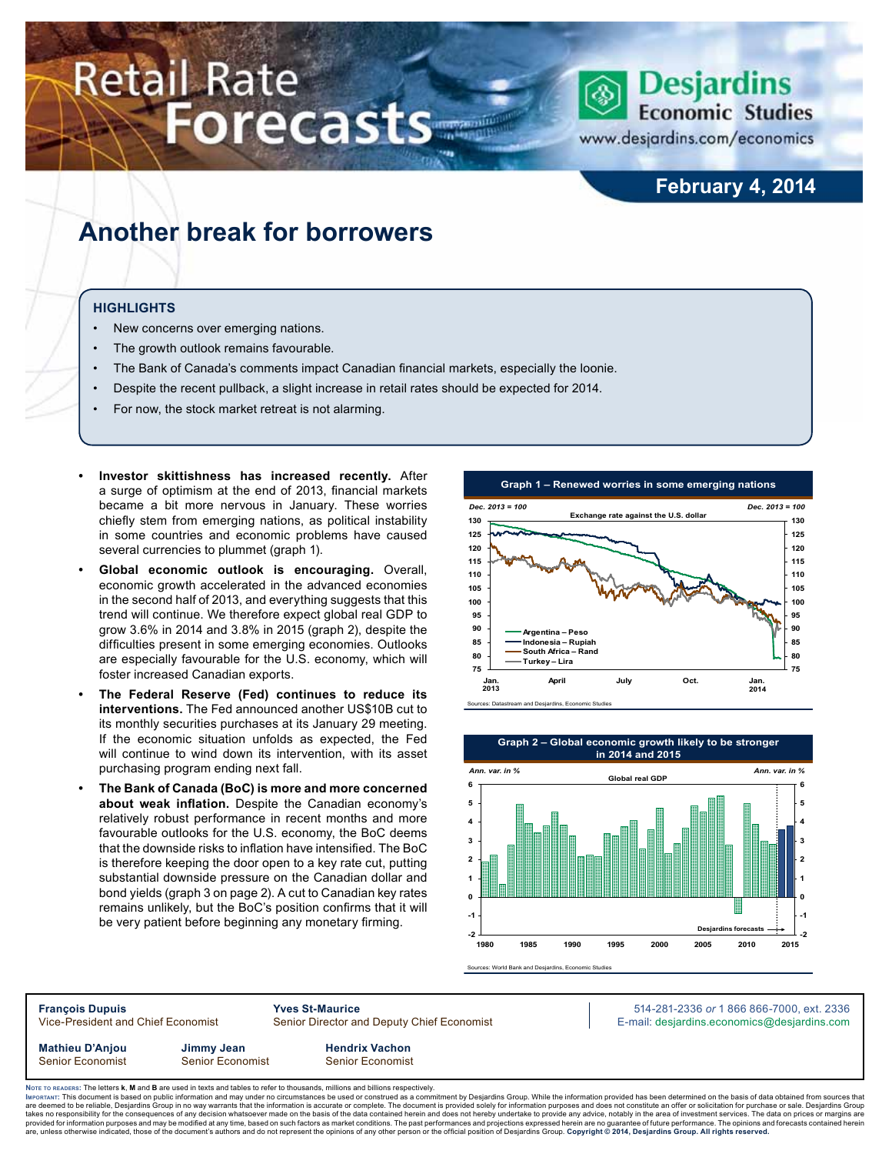# **Retail Rate Forecasts**



www.desjardins.com/economics

### **February 4, 2014**

### **Another break for borrowers**

#### **Highlights**

- New concerns over emerging nations.
- The growth outlook remains favourable.
- The Bank of Canada's comments impact Canadian financial markets, especially the loonie.
- Despite the recent pullback, a slight increase in retail rates should be expected for 2014.
- For now, the stock market retreat is not alarming.
- **Investor skittishness has increased recently.** After a surge of optimism at the end of 2013, financial markets became a bit more nervous in January. These worries chiefly stem from emerging nations, as political instability in some countries and economic problems have caused several currencies to plummet (graph 1).
- **Global economic outlook is encouraging.** Overall, economic growth accelerated in the advanced economies in the second half of 2013, and everything suggests that this trend will continue. We therefore expect global real GDP to grow 3.6% in 2014 and 3.8% in 2015 (graph 2), despite the difficulties present in some emerging economies. Outlooks are especially favourable for the U.S. economy, which will foster increased Canadian exports.
- **The Federal Reserve (Fed) continues to reduce its interventions.** The Fed announced another US\$10B cut to its monthly securities purchases at its January 29 meeting. If the economic situation unfolds as expected, the Fed will continue to wind down its intervention, with its asset purchasing program ending next fall.
- **The Bank of Canada (BoC) is more and more concerned about weak inflation.** Despite the Canadian economy's relatively robust performance in recent months and more favourable outlooks for the U.S. economy, the BoC deems that the downside risks to inflation have intensified. The BoC is therefore keeping the door open to a key rate cut, putting substantial downside pressure on the Canadian dollar and bond yields (graph 3 on page 2). A cut to Canadian key rates remains unlikely, but the BoC's position confirms that it will be very patient before beginning any monetary firming.





Sources: World Bank and Desiardins, Econo

**François Dupuis Yves St-Maurice** 514-281-2336 *or* 1 866 866-7000, ext. 2336 Vice-President and Chief Economist Senior Director and Deputy Chief Economist E-mail: desjardins.economics@desjardins.com

**Mathieu D'Anjou Jimmy Jean Hendrix Vachon** Senior Economist Senior Economist Senior Economist

Noте то келоекs: The letters **k, M** and **B** are used in texts and tables to refer to thousands, millions and billions respectively.<br>Імроктлит: This document is based on public information and may under no circumstances be are deemed to be reliable. Desiardins Group in no way warrants that the information is accurate or complete. The document is provided solely for information purposes and does not constitute an offer or solicitation for pur takes no responsibility for the consequences of any decision whatsoever made on the basis of the data contained herein and does not hereby undertake to provide any advice, notably in the area of investment services. The da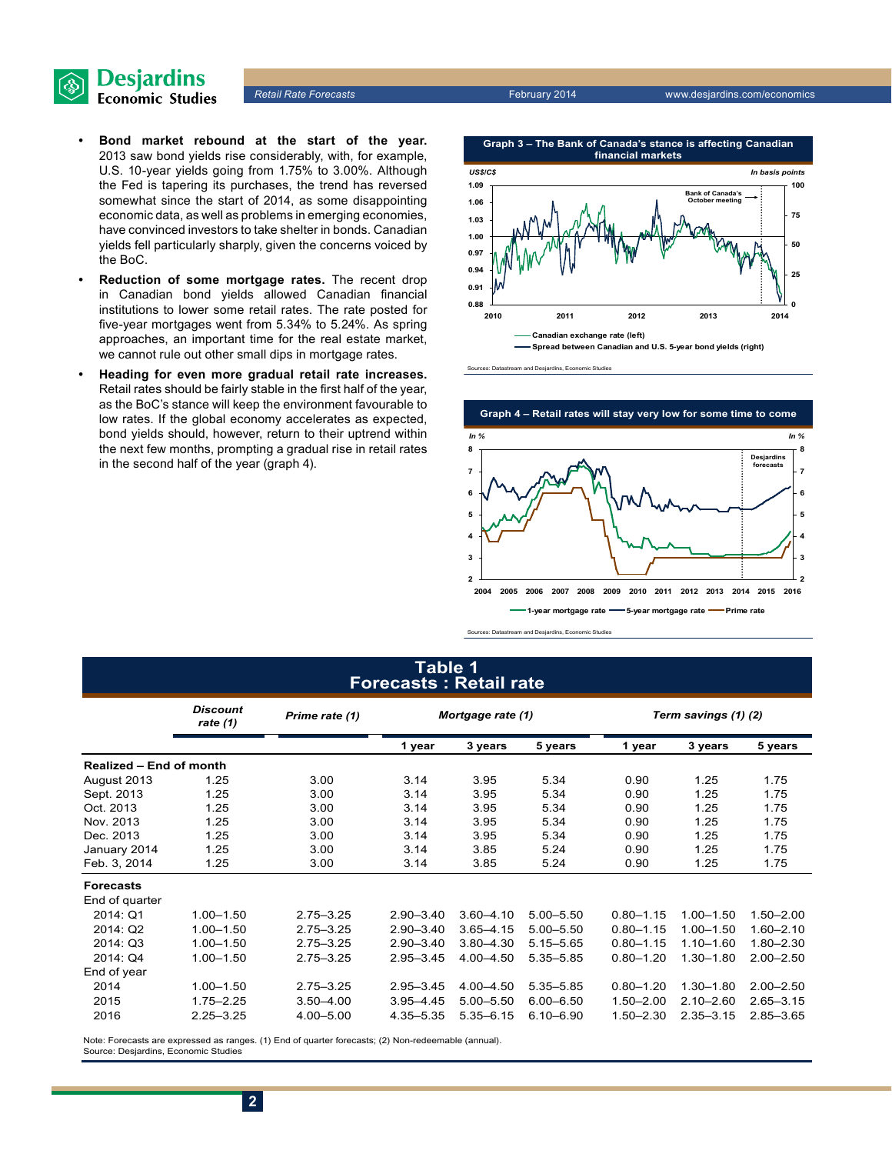

- **• Bond market rebound at the start of the year.** 2013 saw bond yields rise considerably, with, for example, U.S. 10-year yields going from 1.75% to 3.00%. Although the Fed is tapering its purchases, the trend has reversed somewhat since the start of 2014, as some disappointing economic data, as well as problems in emerging economies, have convinced investors to take shelter in bonds. Canadian yields fell particularly sharply, given the concerns voiced by the BoC.
- **• Reduction of some mortgage rates.** The recent drop in Canadian bond yields allowed Canadian financial institutions to lower some retail rates. The rate posted for five-year mortgages went from 5.34% to 5.24%. As spring approaches, an important time for the real estate market, we cannot rule out other small dips in mortgage rates.
- **• Heading for even more gradual retail rate increases.** Retail rates should be fairly stable in the first half of the year, as the BoC's stance will keep the environment favourable to low rates. If the global economy accelerates as expected, bond yields should, however, return to their uptrend within the next few months, prompting a gradual rise in retail rates in the second half of the year (graph 4).



Sources: Datastream and Desjardins, Economic Studies



Sources: Datastream and Desjardins, Economic Studies

#### **Table 1 Forecasts : Retail rate**

|                                | <b>Discount</b><br>Prime rate (1)<br>rate $(1)$ |               | Mortgage rate (1) |               |               | Term savings (1) (2) |               |               |  |
|--------------------------------|-------------------------------------------------|---------------|-------------------|---------------|---------------|----------------------|---------------|---------------|--|
|                                |                                                 |               | 1 year            | 3 years       | 5 years       | 1 year               | 3 years       | 5 years       |  |
| <b>Realized - End of month</b> |                                                 |               |                   |               |               |                      |               |               |  |
| August 2013                    | 1.25                                            | 3.00          | 3.14              | 3.95          | 5.34          | 0.90                 | 1.25          | 1.75          |  |
| Sept. 2013                     | 1.25                                            | 3.00          | 3.14              | 3.95          | 5.34          | 0.90                 | 1.25          | 1.75          |  |
| Oct. 2013                      | 1.25                                            | 3.00          | 3.14              | 3.95          | 5.34          | 0.90                 | 1.25          | 1.75          |  |
| Nov. 2013                      | 1.25                                            | 3.00          | 3.14              | 3.95          | 5.34          | 0.90                 | 1.25          | 1.75          |  |
| Dec. 2013                      | 1.25                                            | 3.00          | 3.14              | 3.95          | 5.34          | 0.90                 | 1.25          | 1.75          |  |
| January 2014                   | 1.25                                            | 3.00          | 3.14              | 3.85          | 5.24          | 0.90                 | 1.25          | 1.75          |  |
| Feb. 3. 2014                   | 1.25                                            | 3.00          | 3.14              | 3.85          | 5.24          | 0.90                 | 1.25          | 1.75          |  |
| <b>Forecasts</b>               |                                                 |               |                   |               |               |                      |               |               |  |
| End of quarter                 |                                                 |               |                   |               |               |                      |               |               |  |
| 2014: Q1                       | $1.00 - 1.50$                                   | $2.75 - 3.25$ | $2.90 - 3.40$     | $3.60 - 4.10$ | $5.00 - 5.50$ | $0.80 - 1.15$        | $1.00 - 1.50$ | $1.50 - 2.00$ |  |
| 2014: Q2                       | $1.00 - 1.50$                                   | $2.75 - 3.25$ | $2.90 - 3.40$     | $3.65 - 4.15$ | $5.00 - 5.50$ | $0.80 - 1.15$        | $1.00 - 1.50$ | $1.60 - 2.10$ |  |
| 2014: Q3                       | $1.00 - 1.50$                                   | $2.75 - 3.25$ | $2.90 - 3.40$     | $3.80 - 4.30$ | $5.15 - 5.65$ | $0.80 - 1.15$        | $1.10 - 1.60$ | $1.80 - 2.30$ |  |
| 2014: Q4                       | $1.00 - 1.50$                                   | $2.75 - 3.25$ | $2.95 - 3.45$     | 4.00 - 4.50   | 5.35 - 5.85   | $0.80 - 1.20$        | $1.30 - 1.80$ | $2.00 - 2.50$ |  |
| End of year                    |                                                 |               |                   |               |               |                      |               |               |  |
| 2014                           | $1.00 - 1.50$                                   | $2.75 - 3.25$ | $2.95 - 3.45$     | $4.00 - 4.50$ | 5.35 - 5.85   | $0.80 - 1.20$        | $1.30 - 1.80$ | $2.00 - 2.50$ |  |
| 2015                           | $1.75 - 2.25$                                   | $3.50 - 4.00$ | $3.95 - 4.45$     | $5.00 - 5.50$ | $6.00 - 6.50$ | $1.50 - 2.00$        | $2.10 - 2.60$ | $2.65 - 3.15$ |  |
| 2016                           | $2.25 - 3.25$                                   | $4.00 - 5.00$ | 4.35 - 5.35       | $5.35 - 6.15$ | $6.10 - 6.90$ | $1.50 - 2.30$        | $2.35 - 3.15$ | $2.85 - 3.65$ |  |

Note: Forecasts are expressed as ranges. (1) End of quarter forecasts; (2) Non-redeemable (annual). Source: Desjardins, Economic Studies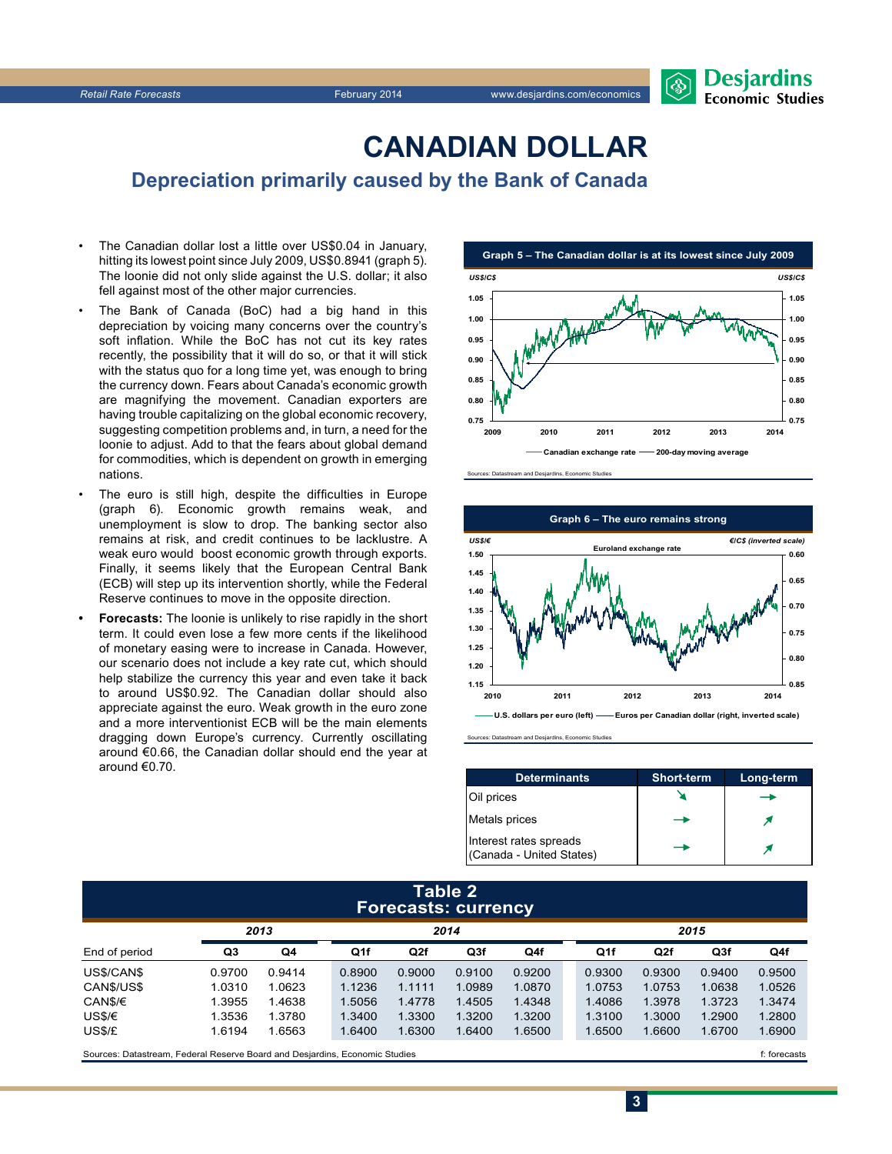

## **CanadiAn Dollar**

**Depreciation primarily caused by the Bank of Canada**

- The Canadian dollar lost a little over US\$0.04 in January, hitting its lowest point since July 2009, US\$0.8941 (graph 5). The loonie did not only slide against the U.S. dollar; it also fell against most of the other major currencies.
- The Bank of Canada (BoC) had a big hand in this depreciation by voicing many concerns over the country's soft inflation. While the BoC has not cut its key rates recently, the possibility that it will do so, or that it will stick with the status quo for a long time yet, was enough to bring the currency down. Fears about Canada's economic growth are magnifying the movement. Canadian exporters are having trouble capitalizing on the global economic recovery, suggesting competition problems and, in turn, a need for the loonie to adjust. Add to that the fears about global demand for commodities, which is dependent on growth in emerging nations.
- The euro is still high, despite the difficulties in Europe (graph 6). Economic growth remains weak, and unemployment is slow to drop. The banking sector also remains at risk, and credit continues to be lacklustre. A weak euro would boost economic growth through exports. Finally, it seems likely that the European Central Bank (ECB) will step up its intervention shortly, while the Federal Reserve continues to move in the opposite direction.
- **Forecasts:** The loonie is unlikely to rise rapidly in the short term. It could even lose a few more cents if the likelihood of monetary easing were to increase in Canada. However, our scenario does not include a key rate cut, which should help stabilize the currency this year and even take it back to around US\$0.92. The Canadian dollar should also appreciate against the euro. Weak growth in the euro zone and a more interventionist ECB will be the main elements dragging down Europe's currency. Currently oscillating around €0.66, the Canadian dollar should end the year at around €0.70.







Sources: Datastream and Desjardins, Economic Studies

| <b>Determinants</b>                                | <b>Short-term</b> | Long-term |
|----------------------------------------------------|-------------------|-----------|
| Oil prices                                         |                   |           |
| Metals prices                                      |                   |           |
| Interest rates spreads<br>(Canada - United States) |                   |           |

#### **Table 2 Forecasts: currency**

| 2013          |        |                | 2014   |        |        |        | 2015 |        |        |        |        |
|---------------|--------|----------------|--------|--------|--------|--------|------|--------|--------|--------|--------|
| End of period | Q3     | Q <sub>4</sub> | Q1f    | Q2f    | Q3f    | Q4f    |      | Q1f    | Q2f    | Q3f    | Q4f    |
| US\$/CAN\$    | 0.9700 | 0.9414         | 0.8900 | 0.9000 | 0.9100 | 0.9200 |      | 0.9300 | 0.9300 | 0.9400 | 0.9500 |
| CANS/USS      | 1.0310 | 1.0623         | 1.1236 | 1.1111 | 1.0989 | 1.0870 |      | 1.0753 | 1.0753 | 1.0638 | 1.0526 |
| CAN\$/€       | 1.3955 | 1.4638         | 1.5056 | 1.4778 | 1.4505 | 1.4348 |      | 1.4086 | 1.3978 | 1.3723 | 1.3474 |
| US\$/€        | 1.3536 | 1.3780         | 1.3400 | 1.3300 | 1.3200 | 1.3200 |      | 1.3100 | 1.3000 | 1.2900 | 1.2800 |
| US\$/£        | 1.6194 | 1.6563         | 1.6400 | 1.6300 | 1.6400 | 1.6500 |      | 1.6500 | 1.6600 | 1.6700 | 1.6900 |
|               |        |                |        |        |        |        |      |        |        |        |        |

Sources: Datastream, Federal Reserve Board and Desjardins, Economic Studies files for example of the studies files forecasts files forecasts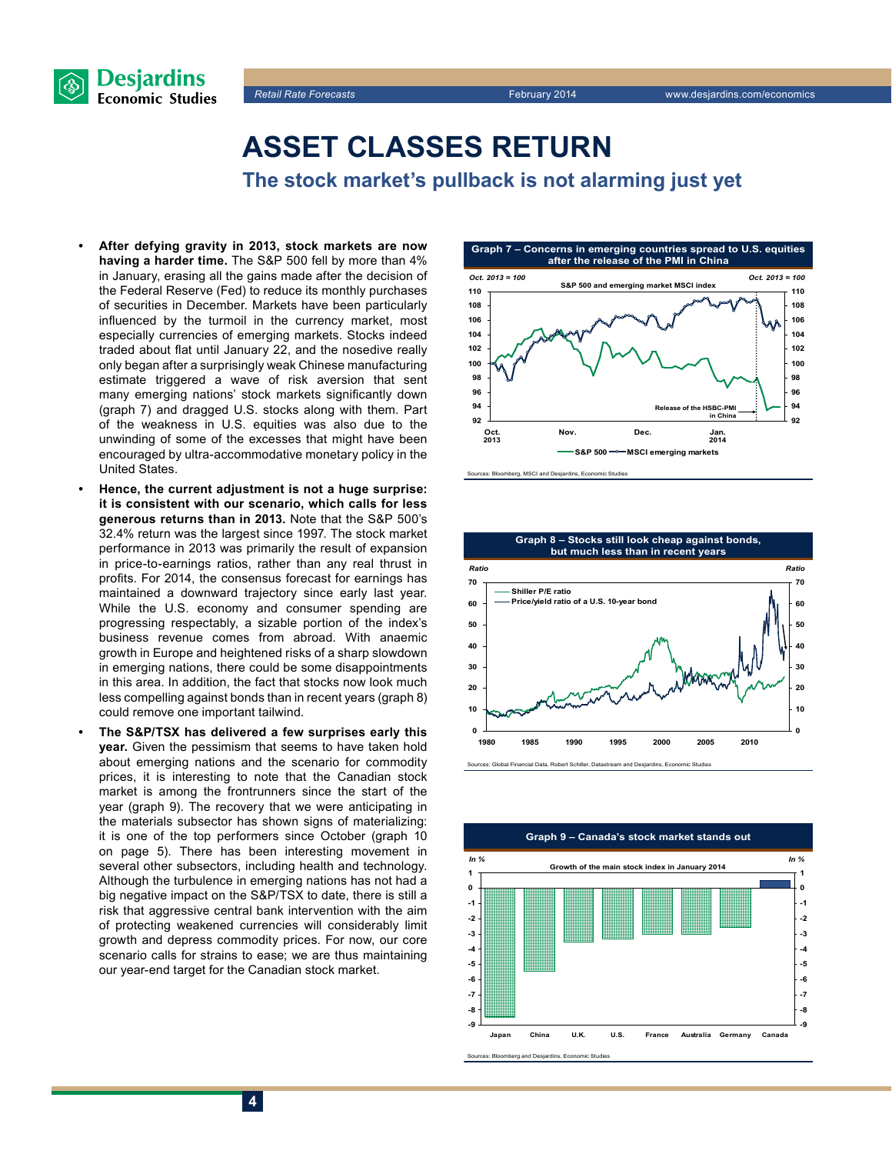



### **Asset classes return**

**The stock market's pullback is not alarming just yet**

- After defying gravity in 2013, stock markets are now **having a harder time.** The S&P 500 fell by more than 4% in January, erasing all the gains made after the decision of the Federal Reserve (Fed) to reduce its monthly purchases of securities in December. Markets have been particularly influenced by the turmoil in the currency market, most especially currencies of emerging markets. Stocks indeed traded about flat until January 22, and the nosedive really only began after a surprisingly weak Chinese manufacturing estimate triggered a wave of risk aversion that sent many emerging nations' stock markets significantly down (graph 7) and dragged U.S. stocks along with them. Part of the weakness in U.S. equities was also due to the unwinding of some of the excesses that might have been encouraged by ultra-accommodative monetary policy in the United States.
- **Hence, the current adjustment is not a huge surprise: it is consistent with our scenario, which calls for less generous returns than in 2013.** Note that the S&P 500's 32.4% return was the largest since 1997. The stock market performance in 2013 was primarily the result of expansion in price-to-earnings ratios, rather than any real thrust in profits. For 2014, the consensus forecast for earnings has maintained a downward trajectory since early last year. While the U.S. economy and consumer spending are progressing respectably, a sizable portion of the index's business revenue comes from abroad. With anaemic growth in Europe and heightened risks of a sharp slowdown in emerging nations, there could be some disappointments in this area. In addition, the fact that stocks now look much less compelling against bonds than in recent years (graph 8) could remove one important tailwind.
- **The S&P/TSX has delivered a few surprises early this year.** Given the pessimism that seems to have taken hold about emerging nations and the scenario for commodity prices, it is interesting to note that the Canadian stock market is among the frontrunners since the start of the year (graph 9). The recovery that we were anticipating in the materials subsector has shown signs of materializing: it is one of the top performers since October (graph 10 on page 5). There has been interesting movement in several other subsectors, including health and technology. Although the turbulence in emerging nations has not had a big negative impact on the S&P/TSX to date, there is still a risk that aggressive central bank intervention with the aim of protecting weakened currencies will considerably limit growth and depress commodity prices. For now, our core scenario calls for strains to ease; we are thus maintaining our year-end target for the Canadian stock market.





Sources: Global Financial Data, Robert Schiller, Datastream and Desjardins, Econ